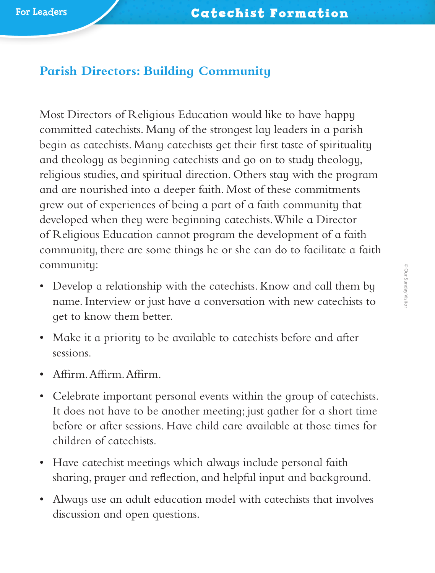## **Parish Directors: Building Community**

Most Directors of Religious Education would like to have happy committed catechists. Many of the strongest lay leaders in a parish begin as catechists. Many catechists get their first taste of spirituality and theology as beginning catechists and go on to study theology, religious studies, and spiritual direction. Others stay with the program and are nourished into a deeper faith. Most of these commitments grew out of experiences of being a part of a faith community that developed when they were beginning catechists. While a Director of Religious Education cannot program the development of a faith community, there are some things he or she can do to facilitate a faith community:

- Develop a relationship with the catechists. Know and call them by name. Interview or just have a conversation with new catechists to get to know them better.
- Make it a priority to be available to catechists before and after sessions.
- Affirm. Affirm. Affirm.
- Celebrate important personal events within the group of catechists. It does not have to be another meeting; just gather for a short time before or after sessions. Have child care available at those times for children of catechists.
- Have catechist meetings which always include personal faith sharing, prayer and reflection, and helpful input and background.
- Always use an adult education model with catechists that involves discussion and open questions.